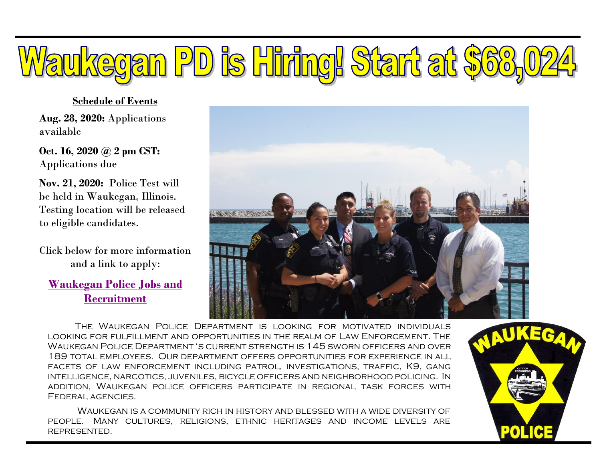# Waukegan PD is Hiring! Start at \$60,

#### **Schedule of Events**

**Aug. 28, 2020:** Applications available

**Oct. 16, 2020 @ 2 pm CST:** Applications due

**Nov. 21, 2020:** Police Test will be held in Waukegan, Illinois. Testing location will be released to eligible candidates.

Click below for more information and a link to apply:

**[Waukegan Police Jobs and](https://www.waukeganil.gov/460/Police-Jobs-and-Recruitment)  [Recruitment](https://www.waukeganil.gov/460/Police-Jobs-and-Recruitment)**



The Waukegan Police Department is looking for motivated individuals looking for fulfillment and opportunities in the realm of Law Enforcement. The Waukegan Police Department 's current strength is 145 sworn officers and over 189 total employees. Our department offers opportunities for experience in all facets of law enforcement including patrol, investigations, traffic, K9, gang intelligence, narcotics, juveniles, bicycle officers and neighborhood policing. In addition, Waukegan police officers participate in regional task forces with Federal agencies.

Waukegan is a community rich in history and blessed with a wide diversity of people. Many cultures, religions, ethnic heritages and income levels are represented.